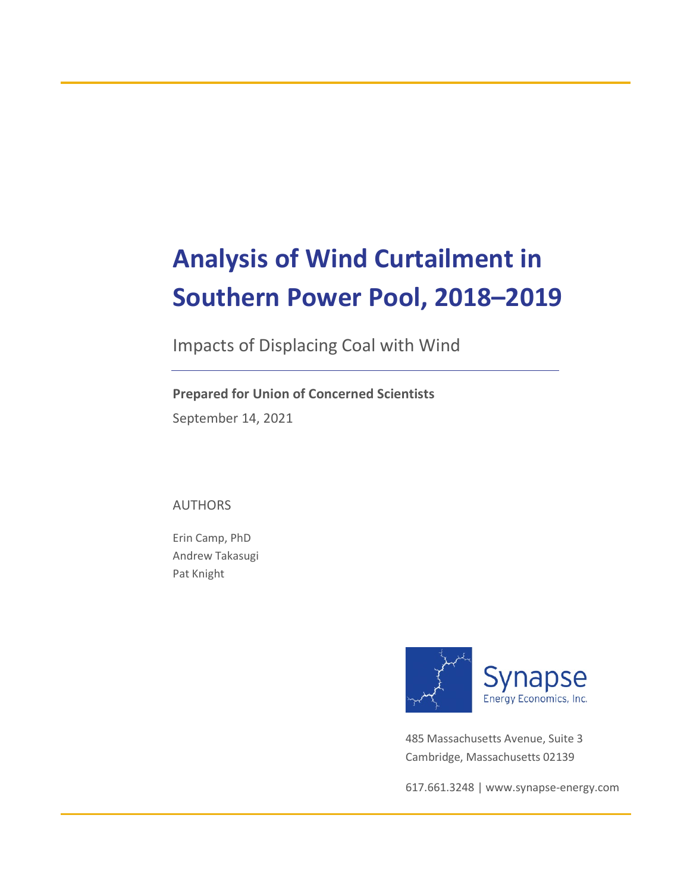# **Analysis of Wind Curtailment in Southern Power Pool, 2018–2019**

Impacts of Displacing Coal with Wind

**Prepared for Union of Concerned Scientists** September 14, 2021

AUTHORS

Erin Camp, PhD Andrew Takasugi Pat Knight



485 Massachusetts Avenue, Suite 3 Cambridge, Massachusetts 02139

617.661.3248 | [www.synapse-energy.com](http://www.synapse-energy.com/)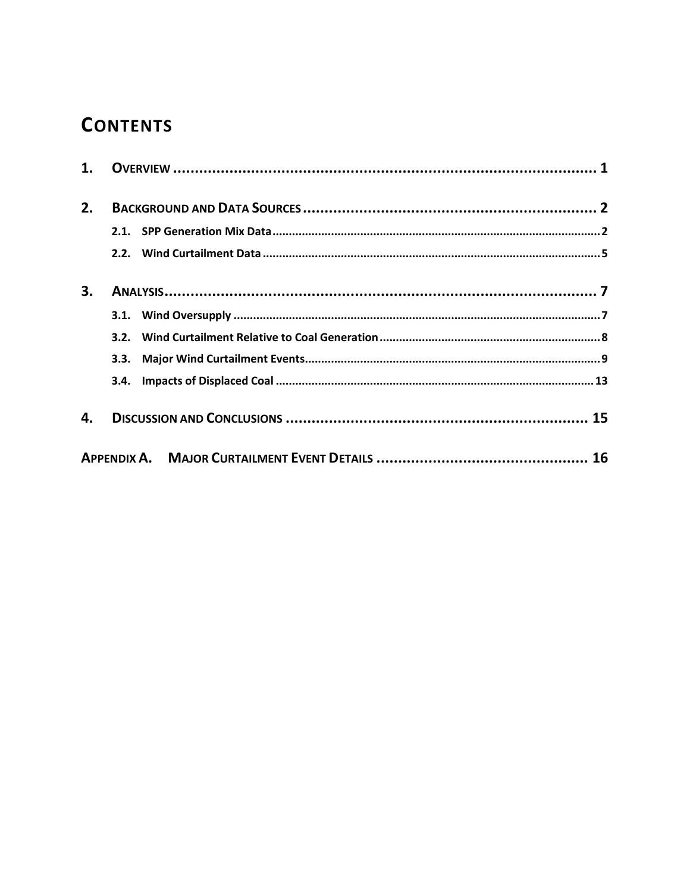### **CONTENTS**

| 1. |      |  |
|----|------|--|
| 2. |      |  |
|    |      |  |
|    |      |  |
| 3. |      |  |
|    |      |  |
|    |      |  |
|    | 3.3. |  |
|    |      |  |
| 4. |      |  |
|    |      |  |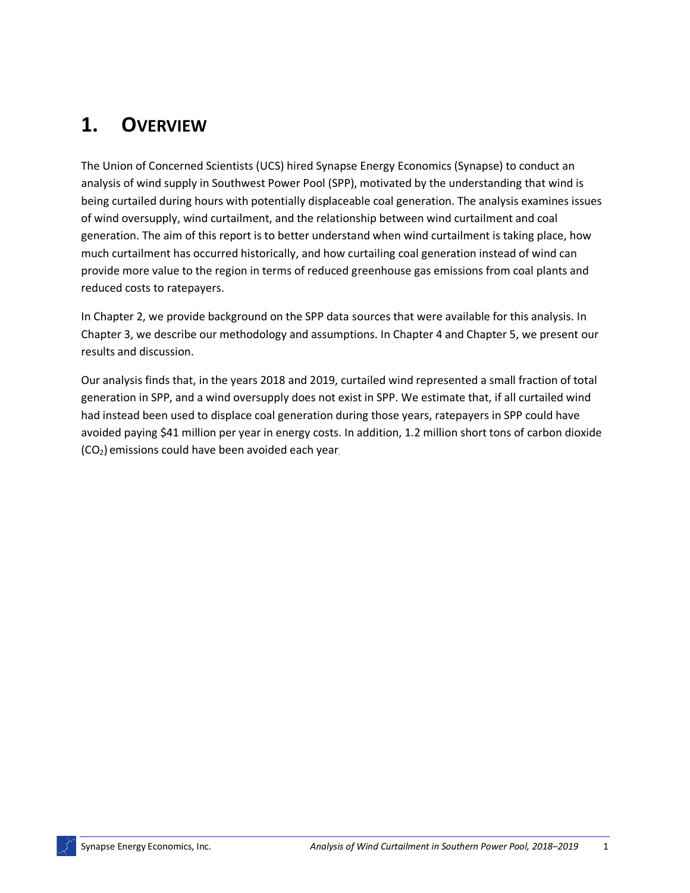### **1. OVERVIEW**

The Union of Concerned Scientists (UCS) hired Synapse Energy Economics (Synapse) to conduct an analysis of wind supply in Southwest Power Pool (SPP), motivated by the understanding that wind is being curtailed during hours with potentially displaceable coal generation. The analysis examines issues of wind oversupply, wind curtailment, and the relationship between wind curtailment and coal generation. The aim of this report is to better understand when wind curtailment is taking place, how much curtailment has occurred historically, and how curtailing coal generation instead of wind can provide more value to the region in terms of reduced greenhouse gas emissions from coal plants and reduced costs to ratepayers.

In Chapter 2, we provide background on the SPP data sources that were available for this analysis. In Chapter 3, we describe our methodology and assumptions. In Chapter 4 and Chapter 5, we present our results and discussion.

Our analysis finds that, in the years 2018 and 2019, curtailed wind represented a small fraction of total generation in SPP, and a wind oversupply does not exist in SPP. We estimate that, if all curtailed wind had instead been used to displace coal generation during those years, ratepayers in SPP could have avoided paying \$41 million per year in energy costs. In addition, 1.2 million short tons of carbon dioxide (CO2) emissions could have been avoided each year.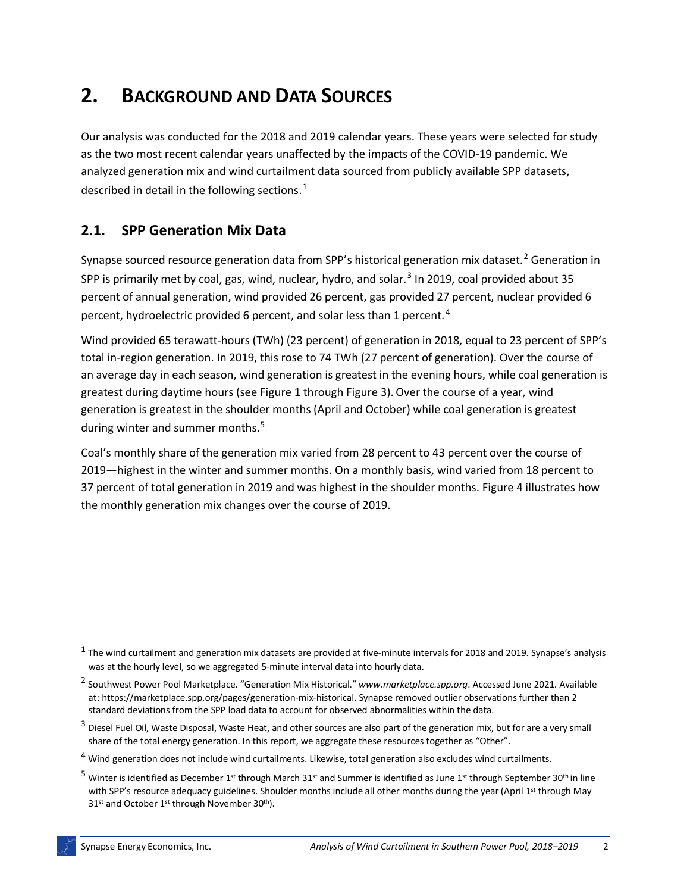### **2. BACKGROUND AND DATA SOURCES**

Our analysis was conducted for the 2018 and 2019 calendar years. These years were selected for study as the two most recent calendar years unaffected by the impacts of the COVID-19 pandemic. We analyzed generation mix and wind curtailment data sourced from publicly available SPP datasets, described in detail in the following sections.<sup>[1](#page-3-0)</sup>

#### **2.1. SPP Generation Mix Data**

Synapse sourced resource generation data from SPP's historical generation mix dataset.<sup>[2](#page-3-1)</sup> Generation in SPP is primarily met by coal, gas, wind, nuclear, hydro, and solar. $3$  In 2019, coal provided about 35 percent of annual generation, wind provided 26 percent, gas provided 27 percent, nuclear provided 6 percent, hydroelectric provided 6 percent, and solar less than 1 percent.<sup>[4](#page-3-3)</sup>

Wind provided 65 terawatt-hours (TWh) (23 percent) of generation in 2018, equal to 23 percent of SPP's total in-region generation. In 2019, this rose to 74 TWh (27 percent of generation). Over the course of an average day in each season, wind generation is greatest in the evening hours, while coal generation is greatest during daytime hours (see [Figure 1](#page-4-0) through [Figure 3\)](#page-5-0).Over the course of a year, wind generation is greatest in the shoulder months (April and October) while coal generation is greatest during winter and summer months.<sup>[5](#page-3-4)</sup>

Coal's monthly share of the generation mix varied from 28 percent to 43 percent over the course of 2019—highest in the winter and summer months. On a monthly basis, wind varied from 18 percent to 37 percent of total generation in 2019 and was highest in the shoulder months. Figure 4 illustrates how the monthly generation mix changes over the course of 2019.

<span id="page-3-0"></span> $1$  The wind curtailment and generation mix datasets are provided at five-minute intervals for 2018 and 2019. Synapse's analysis was at the hourly level, so we aggregated 5-minute interval data into hourly data.

<span id="page-3-1"></span><sup>2</sup> Southwest Power Pool Marketplace. "Generation Mix Historical." *[www.marketplace.spp.org](http://www.marketplace.spp.org/)*. Accessed June 2021. Available at: [https://marketplace.spp.org/pages/generation-mix-historical.](https://marketplace.spp.org/pages/generation-mix-historical) Synapse removed outlier observations further than 2 standard deviations from the SPP load data to account for observed abnormalities within the data.

<span id="page-3-2"></span> $3$  Diesel Fuel Oil, Waste Disposal, Waste Heat, and other sources are also part of the generation mix, but for are a very small share of the total energy generation. In this report, we aggregate these resources together as "Other".

<span id="page-3-3"></span><sup>4</sup> Wind generation does not include wind curtailments. Likewise, total generation also excludes wind curtailments.

<span id="page-3-4"></span> $5$  Winter is identified as December 1<sup>st</sup> through March 31<sup>st</sup> and Summer is identified as June 1<sup>st</sup> through September 30<sup>th</sup> in line with SPP's resource adequacy guidelines. Shoulder months include all other months during the year (April 1st through May 31<sup>st</sup> and October 1<sup>st</sup> through November 30<sup>th</sup>).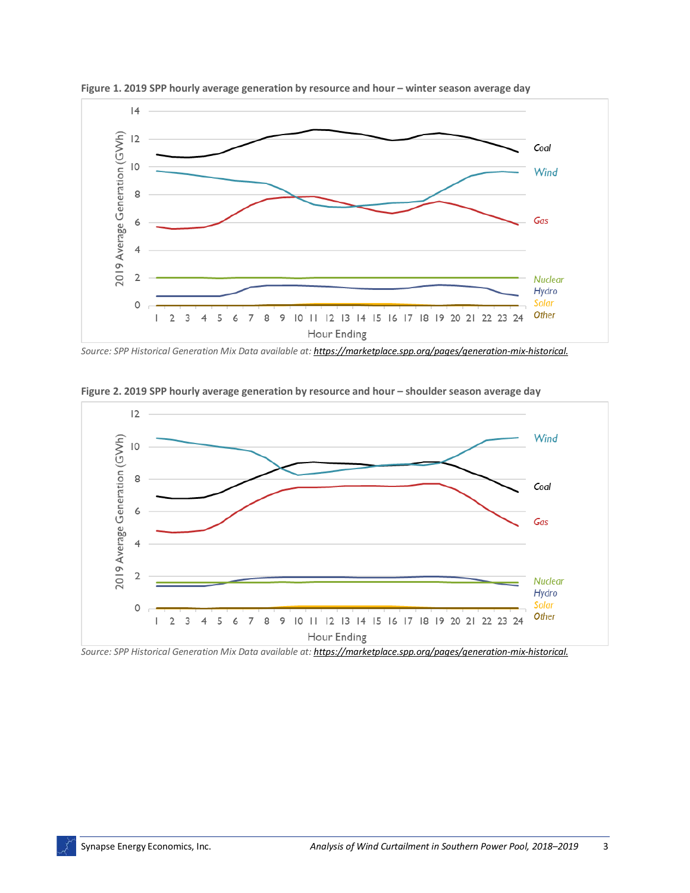

<span id="page-4-0"></span>**Figure 1. 2019 SPP hourly average generation by resource and hour – winter season average day**

*Source: SPP Historical Generation Mix Data available at: [https://marketplace.spp.org/pages/generation-mix-historical.](https://marketplace.spp.org/pages/generation-mix-historical)*



**Figure 2. 2019 SPP hourly average generation by resource and hour – shoulder season average day**

*Source: SPP Historical Generation Mix Data available at: [https://marketplace.spp.org/pages/generation-mix-historical.](https://marketplace.spp.org/pages/generation-mix-historical)*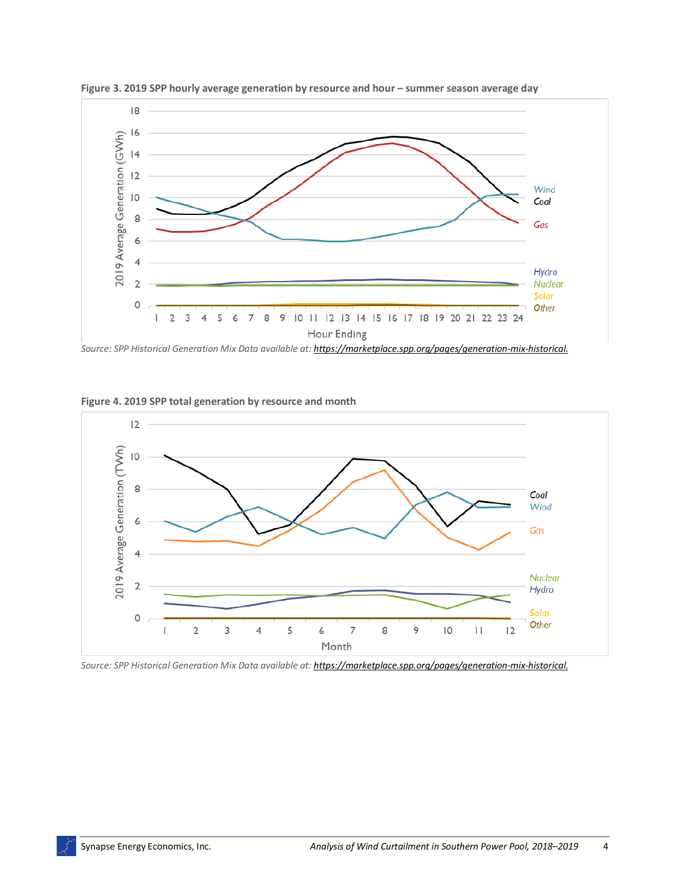

<span id="page-5-0"></span>**Figure 3. 2019 SPP hourly average generation by resource and hour – summer season average day**

*Source: SPP Historical Generation Mix Data available at: [https://marketplace.spp.org/pages/generation-mix-historical.](https://marketplace.spp.org/pages/generation-mix-historical)*





*Source: SPP Historical Generation Mix Data available at: [https://marketplace.spp.org/pages/generation-mix-historical.](https://marketplace.spp.org/pages/generation-mix-historical)*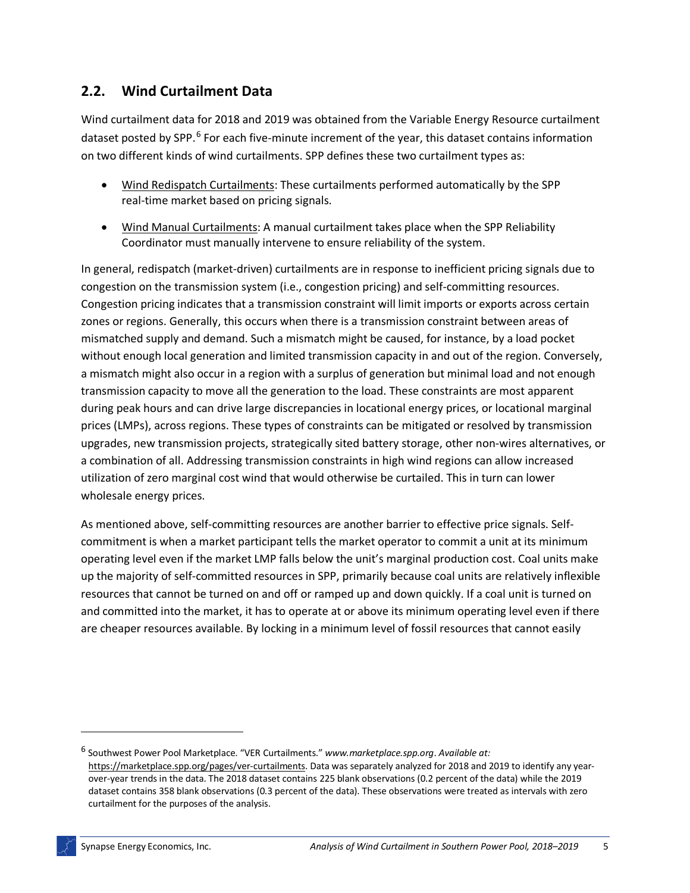#### **2.2. Wind Curtailment Data**

Wind curtailment data for 2018 and 2019 was obtained from the Variable Energy Resource curtailment dataset posted by SPP.<sup>[6](#page-6-0)</sup> For each five-minute increment of the year, this dataset contains information on two different kinds of wind curtailments. SPP defines these two curtailment types as:

- Wind Redispatch Curtailments: These curtailments performed automatically by the SPP real-time market based on pricing signals.
- Wind Manual Curtailments: A manual curtailment takes place when the SPP Reliability Coordinator must manually intervene to ensure reliability of the system.

In general, redispatch (market-driven) curtailments are in response to inefficient pricing signals due to congestion on the transmission system (i.e., congestion pricing) and self-committing resources. Congestion pricing indicates that a transmission constraint will limit imports or exports across certain zones or regions. Generally, this occurs when there is a transmission constraint between areas of mismatched supply and demand. Such a mismatch might be caused, for instance, by a load pocket without enough local generation and limited transmission capacity in and out of the region. Conversely, a mismatch might also occur in a region with a surplus of generation but minimal load and not enough transmission capacity to move all the generation to the load. These constraints are most apparent during peak hours and can drive large discrepancies in locational energy prices, or locational marginal prices (LMPs), across regions. These types of constraints can be mitigated or resolved by transmission upgrades, new transmission projects, strategically sited battery storage, other non-wires alternatives, or a combination of all. Addressing transmission constraints in high wind regions can allow increased utilization of zero marginal cost wind that would otherwise be curtailed. This in turn can lower wholesale energy prices.

As mentioned above, self-committing resources are another barrier to effective price signals. Selfcommitment is when a market participant tells the market operator to commit a unit at its minimum operating level even if the market LMP falls below the unit's marginal production cost. Coal units make up the majority of self-committed resources in SPP, primarily because coal units are relatively inflexible resources that cannot be turned on and off or ramped up and down quickly. If a coal unit is turned on and committed into the market, it has to operate at or above its minimum operating level even if there are cheaper resources available. By locking in a minimum level of fossil resources that cannot easily

<span id="page-6-0"></span><sup>6</sup> Southwest Power Pool Marketplace. "VER Curtailments." *[www.marketplace.spp.org](http://www.marketplace.spp.org/)*. *Available at:*  [https://marketplace.spp.org/pages/ver-curtailments.](https://marketplace.spp.org/pages/ver-curtailments) Data was separately analyzed for 2018 and 2019 to identify any yearover-year trends in the data. The 2018 dataset contains 225 blank observations (0.2 percent of the data) while the 2019 dataset contains 358 blank observations (0.3 percent of the data). These observations were treated as intervals with zero curtailment for the purposes of the analysis.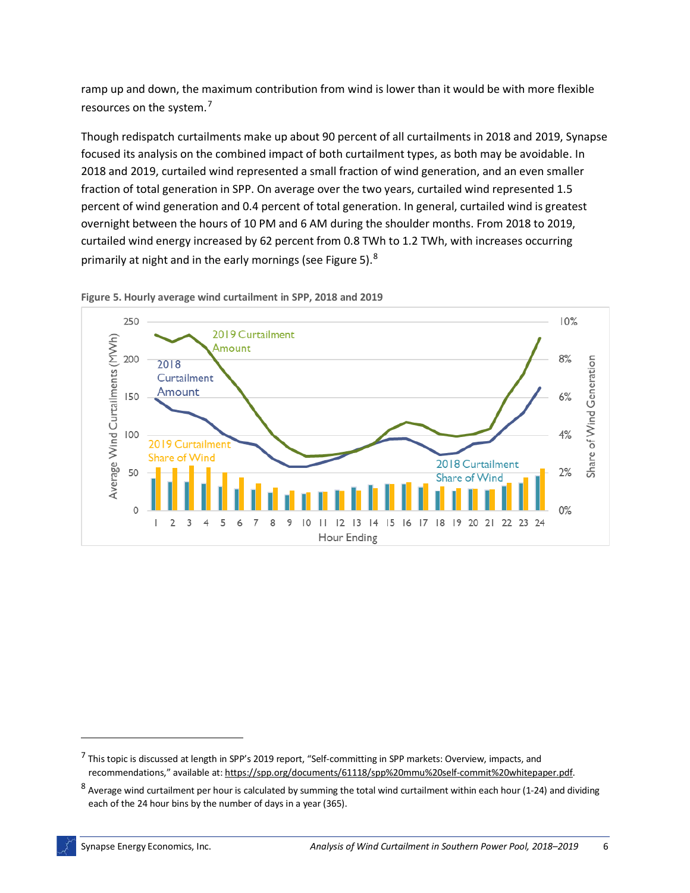ramp up and down, the maximum contribution from wind is lower than it would be with more flexible resources on the system.<sup>[7](#page-7-1)</sup>

Though redispatch curtailments make up about 90 percent of all curtailments in 2018 and 2019, Synapse focused its analysis on the combined impact of both curtailment types, as both may be avoidable. In 2018 and 2019, curtailed wind represented a small fraction of wind generation, and an even smaller fraction of total generation in SPP. On average over the two years, curtailed wind represented 1.5 percent of wind generation and 0.4 percent of total generation. In general, curtailed wind is greatest overnight between the hours of 10 PM and 6 AM during the shoulder months. From 2018 to 2019, curtailed wind energy increased by 62 percent from 0.8 TWh to 1.2 TWh, with increases occurring primarily at night and in the early mornings (see [Figure 5\)](#page-7-0).  $^8$  $^8$ 



<span id="page-7-0"></span>**Figure 5. Hourly average wind curtailment in SPP, 2018 and 2019**

<span id="page-7-1"></span><sup>7</sup> This topic is discussed at length in SPP's 2019 report, "Self-committing in SPP markets: Overview, impacts, and recommendations," available at[: https://spp.org/documents/61118/spp%20mmu%20self-commit%20whitepaper.pdf.](https://spp.org/documents/61118/spp%20mmu%20self-commit%20whitepaper.pdf)

<span id="page-7-2"></span><sup>8</sup> Average wind curtailment per hour is calculated by summing the total wind curtailment within each hour (1-24) and dividing each of the 24 hour bins by the number of days in a year (365).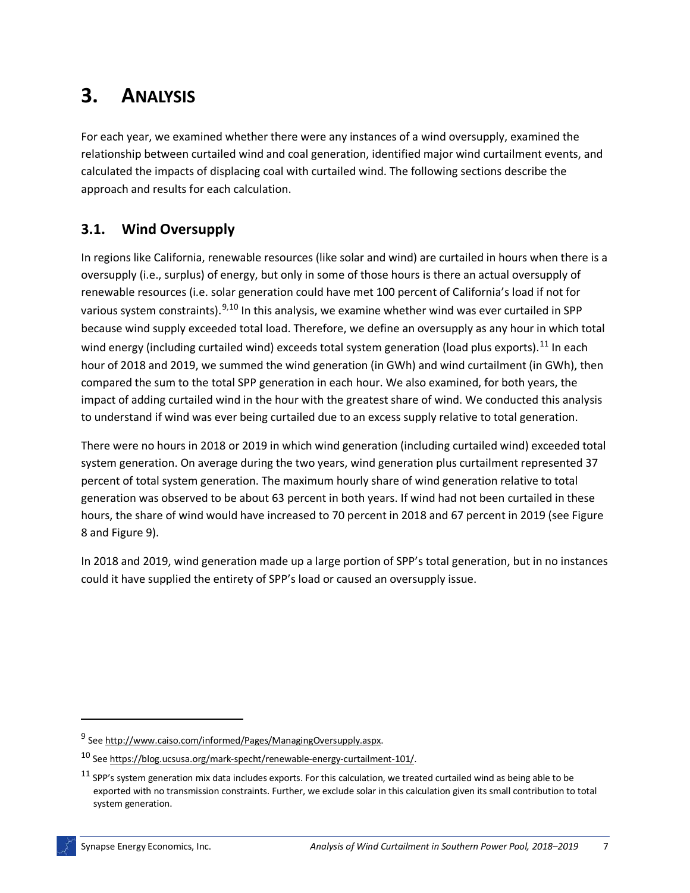## **3. ANALYSIS**

For each year, we examined whether there were any instances of a wind oversupply, examined the relationship between curtailed wind and coal generation, identified major wind curtailment events, and calculated the impacts of displacing coal with curtailed wind. The following sections describe the approach and results for each calculation.

### **3.1. Wind Oversupply**

In regions like California, renewable resources (like solar and wind) are curtailed in hours when there is a oversupply (i.e., surplus) of energy, but only in some of those hours is there an actual oversupply of renewable resources (i.e. solar generation could have met 100 percent of California's load if not for various system constraints).<sup>[9](#page-8-0),[10](#page-8-1)</sup> In this analysis, we examine whether wind was ever curtailed in SPP because wind supply exceeded total load. Therefore, we define an oversupply as any hour in which total wind energy (including curtailed wind) exceeds total system generation (load plus exports).<sup>[11](#page-8-2)</sup> In each hour of 2018 and 2019, we summed the wind generation (in GWh) and wind curtailment (in GWh), then compared the sum to the total SPP generation in each hour. We also examined, for both years, the impact of adding curtailed wind in the hour with the greatest share of wind. We conducted this analysis to understand if wind was ever being curtailed due to an excess supply relative to total generation.

There were no hours in 2018 or 2019 in which wind generation (including curtailed wind) exceeded total system generation. On average during the two years, wind generation plus curtailment represented 37 percent of total system generation. The maximum hourly share of wind generation relative to total generation was observed to be about 63 percent in both years. If wind had not been curtailed in these hours, the share of wind would have increased to 70 percent in 2018 and 67 percent in 2019 (see [Figure](#page-9-0)  [8](#page-9-0) and [Figure 9\)](#page-9-1).

In 2018 and 2019, wind generation made up a large portion of SPP's total generation, but in no instances could it have supplied the entirety of SPP's load or caused an oversupply issue.

<span id="page-8-0"></span><sup>9</sup> Se[e http://www.caiso.com/informed/Pages/ManagingOversupply.aspx.](http://www.caiso.com/informed/Pages/ManagingOversupply.aspx)

<span id="page-8-1"></span><sup>10</sup> Se[e https://blog.ucsusa.org/mark-specht/renewable-energy-curtailment-101/.](https://blog.ucsusa.org/mark-specht/renewable-energy-curtailment-101/) 

<span id="page-8-2"></span> $11$  SPP's system generation mix data includes exports. For this calculation, we treated curtailed wind as being able to be exported with no transmission constraints. Further, we exclude solar in this calculation given its small contribution to total system generation.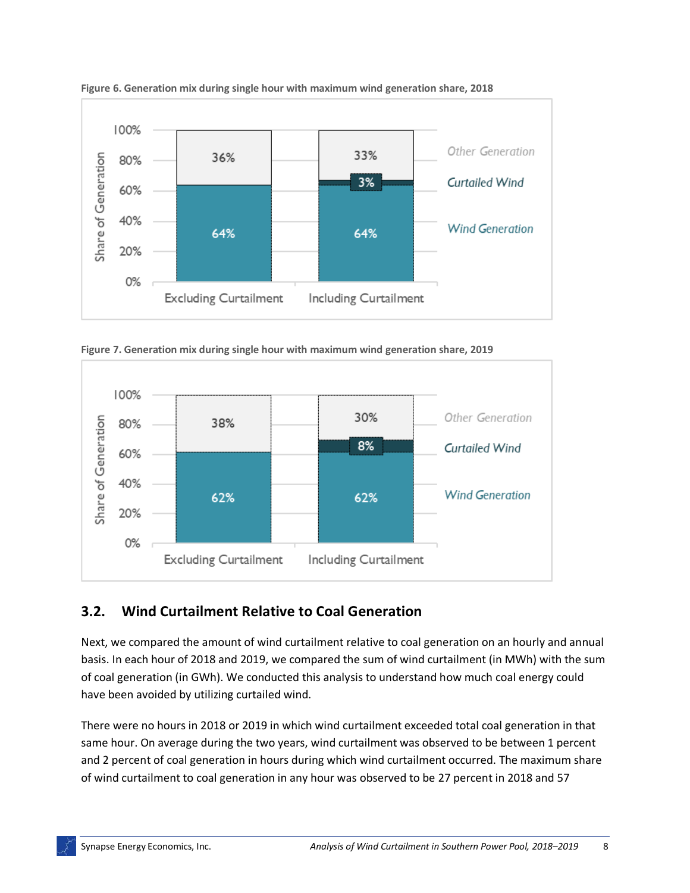

<span id="page-9-0"></span>**Figure 6. Generation mix during single hour with maximum wind generation share, 2018**

<span id="page-9-1"></span>**Figure 7. Generation mix during single hour with maximum wind generation share, 2019**



#### **3.2. Wind Curtailment Relative to Coal Generation**

Next, we compared the amount of wind curtailment relative to coal generation on an hourly and annual basis. In each hour of 2018 and 2019, we compared the sum of wind curtailment (in MWh) with the sum of coal generation (in GWh). We conducted this analysis to understand how much coal energy could have been avoided by utilizing curtailed wind.

There were no hours in 2018 or 2019 in which wind curtailment exceeded total coal generation in that same hour. On average during the two years, wind curtailment was observed to be between 1 percent and 2 percent of coal generation in hours during which wind curtailment occurred. The maximum share of wind curtailment to coal generation in any hour was observed to be 27 percent in 2018 and 57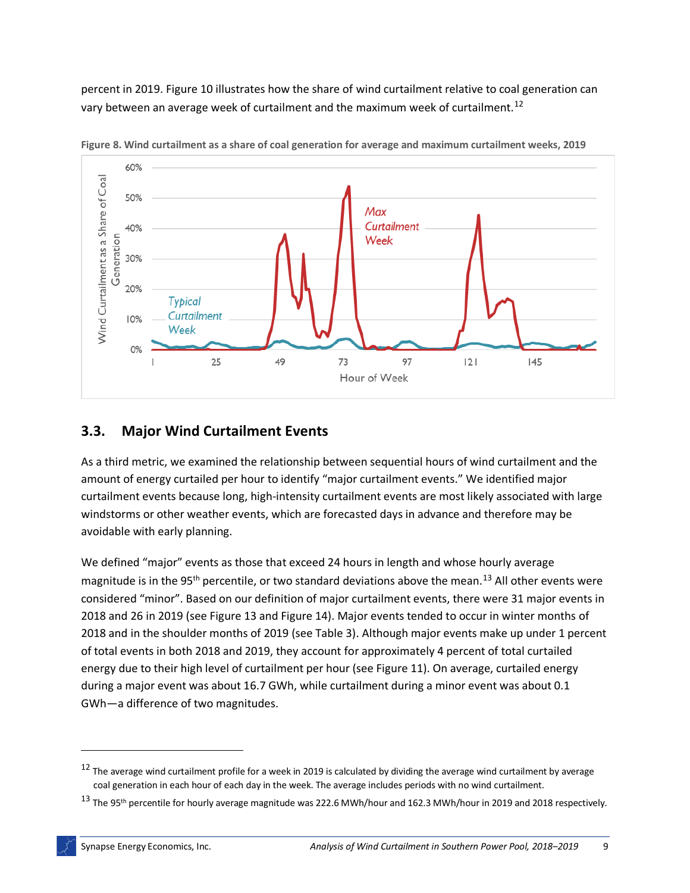percent in 2019. [Figure 10](#page-10-0) illustrates how the share of wind curtailment relative to coal generation can vary between an average week of curtailment and the maximum week of curtailment.<sup>[12](#page-10-1)</sup>



<span id="page-10-0"></span>**Figure 8. Wind curtailment as a share of coal generation for average and maximum curtailment weeks, 2019**

#### **3.3. Major Wind Curtailment Events**

As a third metric, we examined the relationship between sequential hours of wind curtailment and the amount of energy curtailed per hour to identify "major curtailment events." We identified major curtailment events because long, high-intensity curtailment events are most likely associated with large windstorms or other weather events, which are forecasted days in advance and therefore may be avoidable with early planning.

We defined "major" events as those that exceed 24 hours in length and whose hourly average magnitude is in the 95<sup>th</sup> percentile, or two standard deviations above the mean.<sup>[13](#page-10-2)</sup> All other events were considered "minor". Based on our definition of major curtailment events, there were 31 major events in 2018 and 26 in 2019 (see [Figure 13](#page-11-0) and [Figure 14\)](#page-11-1). Major events tended to occur in winter months of 2018 and in the shoulder months of 2019 (see Table 3). Although major events make up under 1 percent of total events in both 2018 and 2019, they account for approximately 4 percent of total curtailed energy due to their high level of curtailment per hour (see [Figure 11\)](#page-12-0). On average, curtailed energy during a major event was about 16.7 GWh, while curtailment during a minor event was about 0.1 GWh—a difference of two magnitudes.

<span id="page-10-1"></span> $12$  The average wind curtailment profile for a week in 2019 is calculated by dividing the average wind curtailment by average coal generation in each hour of each day in the week. The average includes periods with no wind curtailment.

<span id="page-10-2"></span><sup>&</sup>lt;sup>13</sup> The 95<sup>th</sup> percentile for hourly average magnitude was 222.6 MWh/hour and 162.3 MWh/hour in 2019 and 2018 respectively.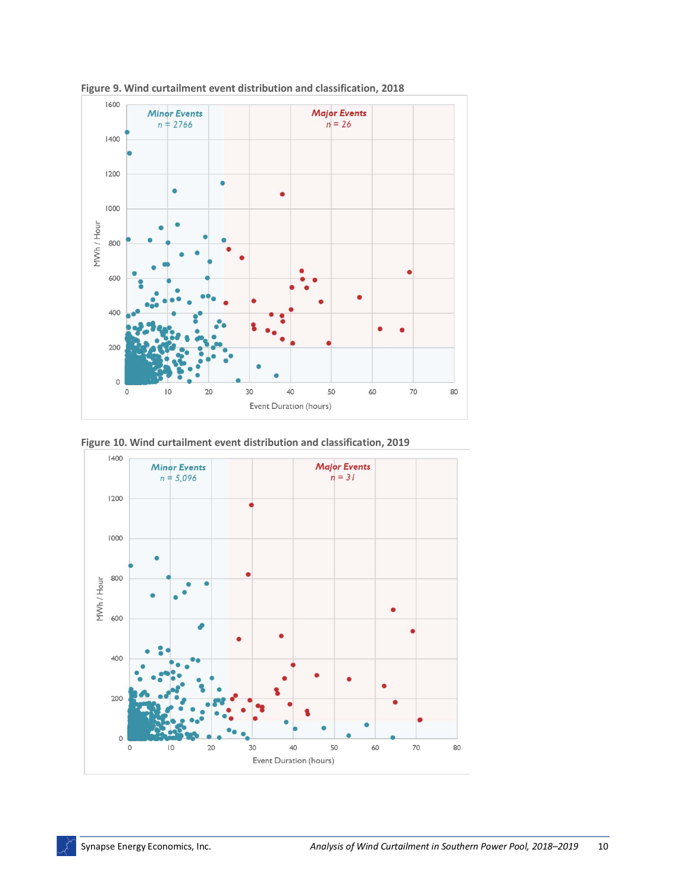

<span id="page-11-0"></span>**Figure 9. Wind curtailment event distribution and classification, 2018**

<span id="page-11-1"></span>

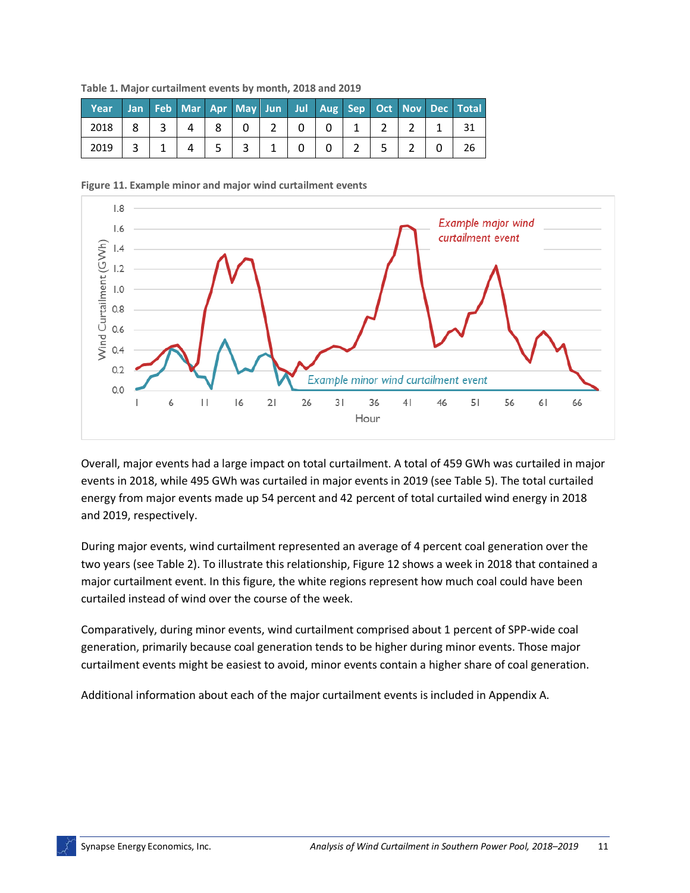| Year |              |   |    |                |          |       |          |  |  | Jan Feb Mar Apr May Jun Jul Aug Sep Oct Nov Dec Total |
|------|--------------|---|----|----------------|----------|-------|----------|--|--|-------------------------------------------------------|
| 2018 | $\mathbf{3}$ | 4 | 81 | $\overline{0}$ | $2 \mid$ | $0-1$ | $\Omega$ |  |  |                                                       |
| 2019 |              |   |    |                |          |       |          |  |  |                                                       |

**Table 1. Major curtailment events by month, 2018 and 2019**

<span id="page-12-0"></span>



Overall, major events had a large impact on total curtailment. A total of 459 GWh was curtailed in major events in 2018, while 495 GWh was curtailed in major events in 2019 (see [Table 5\)](#page-13-0). The total curtailed energy from major events made up 54 percent and 42 percent of total curtailed wind energy in 2018 and 2019, respectively.

During major events, wind curtailment represented an average of 4 percent coal generation over the two years (see [Table](#page-13-0) 2). To illustrate this relationship, [Figure 12](#page-13-1) shows a week in 2018 that contained a major curtailment event. In this figure, the white regions represent how much coal could have been curtailed instead of wind over the course of the week.

Comparatively, during minor events, wind curtailment comprised about 1 percent of SPP-wide coal generation, primarily because coal generation tends to be higher during minor events. Those major curtailment events might be easiest to avoid, minor events contain a higher share of coal generation.

Additional information about each of the major curtailment events is included in Appendix A.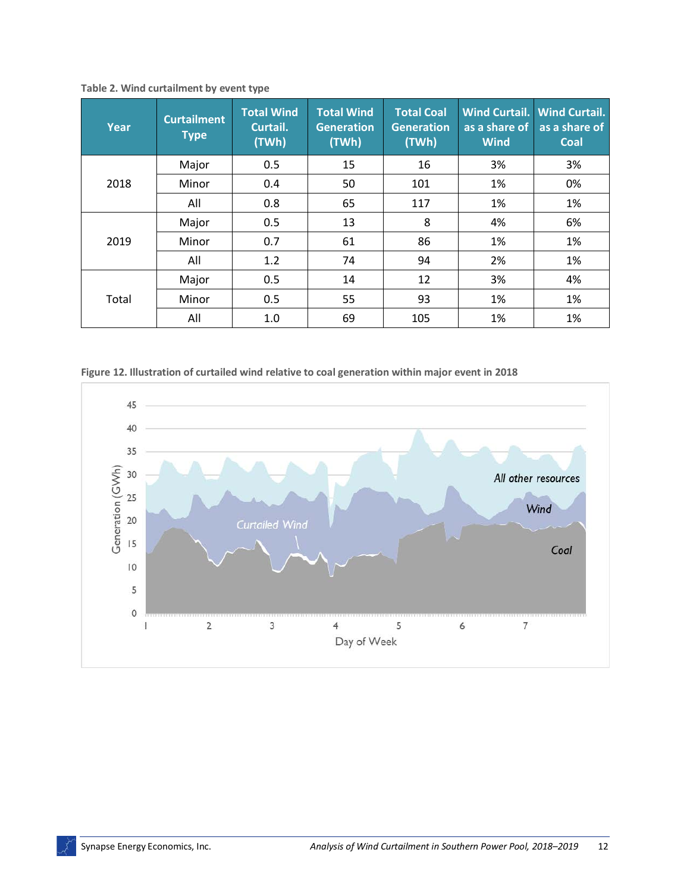| Year  | <b>Curtailment</b><br><b>Type</b> | <b>Total Wind</b><br>Curtail.<br>(TWh) | <b>Total Wind</b><br><b>Generation</b><br>(TWh) | <b>Total Coal</b><br><b>Generation</b><br>(TWh) | as a share of<br><b>Wind</b> | Wind Curtail. Wind Curtail.<br>as a share of<br><b>Coal</b> |
|-------|-----------------------------------|----------------------------------------|-------------------------------------------------|-------------------------------------------------|------------------------------|-------------------------------------------------------------|
|       | Major                             | 0.5                                    | 15                                              | 16                                              | 3%                           | 3%                                                          |
| 2018  | Minor                             | 0.4                                    | 50                                              | 101                                             | 1%                           | 0%                                                          |
|       | All                               | 0.8                                    | 65                                              | 117                                             | 1%                           | 1%                                                          |
|       | Major                             | 0.5                                    | 13                                              | 8                                               | 4%                           | 6%                                                          |
| 2019  | Minor                             | 0.7                                    | 61                                              | 86                                              | 1%                           | 1%                                                          |
|       | All                               | 1.2                                    | 74                                              | 94                                              | 2%                           | 1%                                                          |
|       | Major                             | 0.5                                    | 14                                              | 12                                              | 3%                           | 4%                                                          |
| Total | Minor                             | 0.5                                    | 55                                              | 93                                              | 1%                           | 1%                                                          |
|       | All                               | 1.0                                    | 69                                              | 105                                             | 1%                           | 1%                                                          |

<span id="page-13-0"></span>**Table 2. Wind curtailment by event type**

<span id="page-13-1"></span>**Figure 12. Illustration of curtailed wind relative to coal generation within major event in 2018**

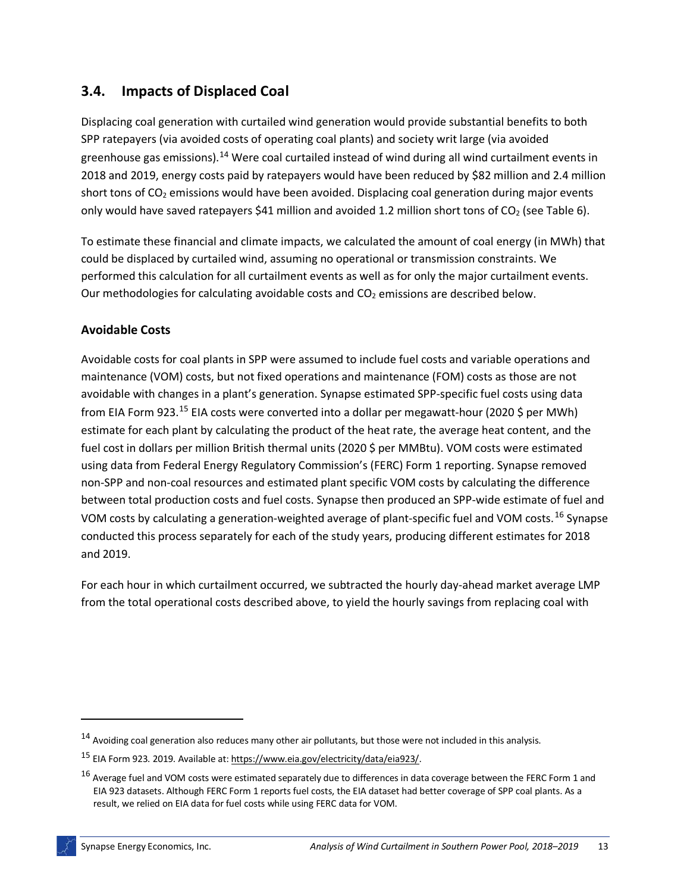#### **3.4. Impacts of Displaced Coal**

Displacing coal generation with curtailed wind generation would provide substantial benefits to both SPP ratepayers (via avoided costs of operating coal plants) and society writ large (via avoided greenhouse gas emissions).[14](#page-14-0) Were coal curtailed instead of wind during all wind curtailment events in 2018 and 2019, energy costs paid by ratepayers would have been reduced by \$82 million and 2.4 million short tons of CO<sub>2</sub> emissions would have been avoided. Displacing coal generation during major events only would have saved ratepayers \$41 million and avoided 1.2 million short tons of  $CO<sub>2</sub>$  (see [Table 6\)](#page-15-0).

To estimate these financial and climate impacts, we calculated the amount of coal energy (in MWh) that could be displaced by curtailed wind, assuming no operational or transmission constraints. We performed this calculation for all curtailment events as well as for only the major curtailment events. Our methodologies for calculating avoidable costs and  $CO<sub>2</sub>$  emissions are described below.

#### **Avoidable Costs**

Avoidable costs for coal plants in SPP were assumed to include fuel costs and variable operations and maintenance (VOM) costs, but not fixed operations and maintenance (FOM) costs as those are not avoidable with changes in a plant's generation. Synapse estimated SPP-specific fuel costs using data from EIA Form 923.<sup>[15](#page-14-1)</sup> EIA costs were converted into a dollar per megawatt-hour (2020 \$ per MWh) estimate for each plant by calculating the product of the heat rate, the average heat content, and the fuel cost in dollars per million British thermal units (2020 \$ per MMBtu). VOM costs were estimated using data from Federal Energy Regulatory Commission's (FERC) Form 1 reporting. Synapse removed non-SPP and non-coal resources and estimated plant specific VOM costs by calculating the difference between total production costs and fuel costs. Synapse then produced an SPP-wide estimate of fuel and VOM costs by calculating a generation-weighted average of plant-specific fuel and VOM costs.[16](#page-14-2) Synapse conducted this process separately for each of the study years, producing different estimates for 2018 and 2019.

For each hour in which curtailment occurred, we subtracted the hourly day-ahead market average LMP from the total operational costs described above, to yield the hourly savings from replacing coal with

<span id="page-14-0"></span><sup>14</sup> Avoiding coal generation also reduces many other air pollutants, but those were not included in this analysis.

<span id="page-14-1"></span><sup>15</sup> EIA Form 923. 2019. Available at[: https://www.eia.gov/electricity/data/eia923/.](https://www.eia.gov/electricity/data/eia923/)

<span id="page-14-2"></span><sup>&</sup>lt;sup>16</sup> Average fuel and VOM costs were estimated separately due to differences in data coverage between the FERC Form 1 and EIA 923 datasets. Although FERC Form 1 reports fuel costs, the EIA dataset had better coverage of SPP coal plants. As a result, we relied on EIA data for fuel costs while using FERC data for VOM.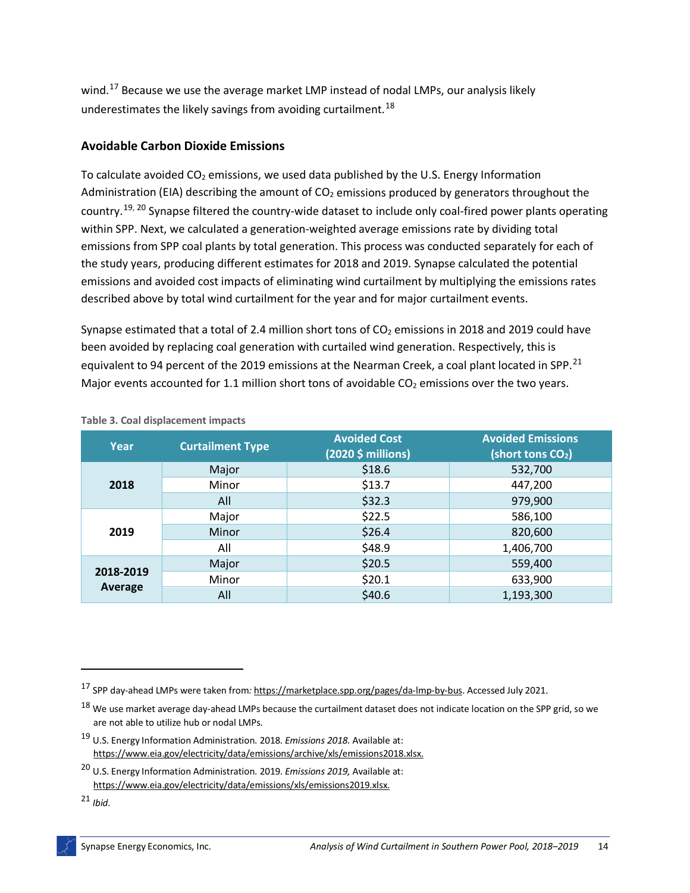wind.<sup>[17](#page-15-1)</sup> Because we use the average market LMP instead of nodal LMPs, our analysis likely underestimates the likely savings from avoiding curtailment.<sup>[18](#page-15-2)</sup>

#### **Avoidable Carbon Dioxide Emissions**

To calculate avoided  $CO<sub>2</sub>$  emissions, we used data published by the U.S. Energy Information Administration (EIA) describing the amount of  $CO<sub>2</sub>$  emissions produced by generators throughout the country.<sup>[19,](#page-15-3) [20](#page-15-4)</sup> Synapse filtered the country-wide dataset to include only coal-fired power plants operating within SPP. Next, we calculated a generation-weighted average emissions rate by dividing total emissions from SPP coal plants by total generation. This process was conducted separately for each of the study years, producing different estimates for 2018 and 2019. Synapse calculated the potential emissions and avoided cost impacts of eliminating wind curtailment by multiplying the emissions rates described above by total wind curtailment for the year and for major curtailment events.

Synapse estimated that a total of 2.4 million short tons of  $CO<sub>2</sub>$  emissions in 2018 and 2019 could have been avoided by replacing coal generation with curtailed wind generation. Respectively, this is equivalent to 94 percent of the 2019 emissions at the Nearman Creek, a coal plant located in SPP.<sup>[21](#page-15-5)</sup> Major events accounted for 1.1 million short tons of avoidable  $CO<sub>2</sub>$  emissions over the two years.

| Year      | <b>Curtailment Type</b> | <b>Avoided Cost</b><br>(2020 \$ millions) | <b>Avoided Emissions</b><br>(short tons CO <sub>2</sub> ) |
|-----------|-------------------------|-------------------------------------------|-----------------------------------------------------------|
|           | Major                   | \$18.6                                    | 532,700                                                   |
| 2018      | Minor                   | \$13.7                                    | 447,200                                                   |
|           | All                     | \$32.3                                    | 979,900                                                   |
|           | Major                   | \$22.5                                    | 586,100                                                   |
| 2019      | Minor                   | \$26.4                                    | 820,600                                                   |
|           | All                     | \$48.9                                    | 1,406,700                                                 |
|           | Major                   | \$20.5                                    | 559,400                                                   |
| 2018-2019 | Minor                   | \$20.1                                    | 633,900                                                   |
| Average   | All                     | \$40.6                                    | 1,193,300                                                 |

#### <span id="page-15-0"></span>**Table 3. Coal displacement impacts**

<span id="page-15-1"></span><sup>17</sup> SPP day-ahead LMPs were taken from*:* [https://marketplace.spp.org/pages/da-lmp-by-bus.](https://marketplace.spp.org/pages/da-lmp-by-bus) Accessed July 2021.

<span id="page-15-2"></span><sup>&</sup>lt;sup>18</sup> We use market average day-ahead LMPs because the curtailment dataset does not indicate location on the SPP grid, so we are not able to utilize hub or nodal LMPs.

<span id="page-15-3"></span><sup>19</sup> U.S. Energy Information Administration. 2018. *Emissions 2018.* Available at: [https://www.eia.gov/electricity/data/emissions/archive/xls/emissions2018.xlsx.](https://www.eia.gov/electricity/data/emissions/archive/xls/emissions2018.xlsx)

<span id="page-15-4"></span><sup>20</sup> U.S. Energy Information Administration. 2019. *Emissions 2019,* Available at: [https://www.eia.gov/electricity/data/emissions/xls/emissions2019.xlsx.](https://www.eia.gov/electricity/data/emissions/xls/emissions2019.xlsx)

<span id="page-15-5"></span><sup>21</sup> *Ibid.*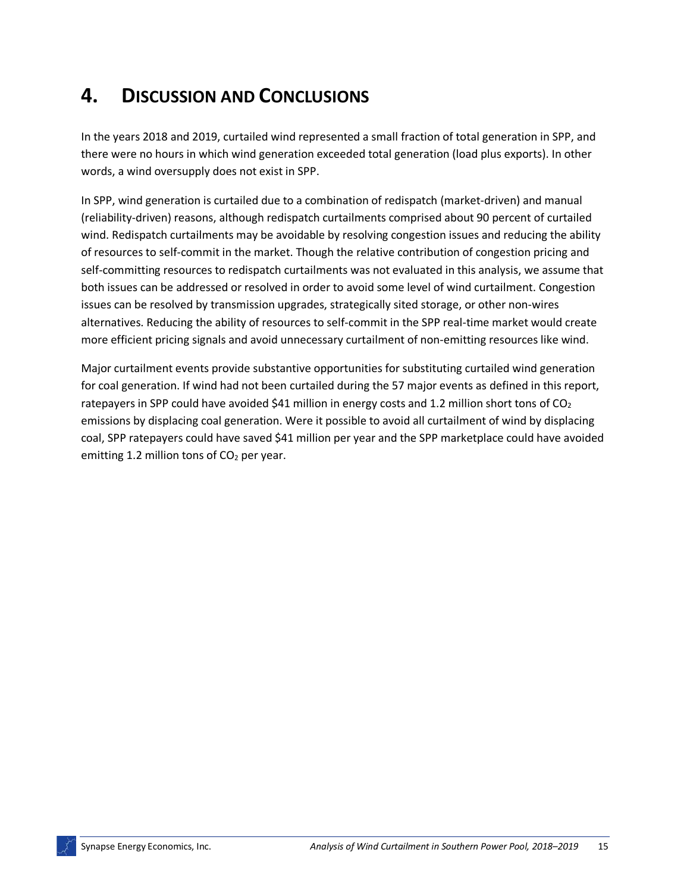### **4. DISCUSSION AND CONCLUSIONS**

In the years 2018 and 2019, curtailed wind represented a small fraction of total generation in SPP, and there were no hours in which wind generation exceeded total generation (load plus exports). In other words, a wind oversupply does not exist in SPP.

In SPP, wind generation is curtailed due to a combination of redispatch (market-driven) and manual (reliability-driven) reasons, although redispatch curtailments comprised about 90 percent of curtailed wind. Redispatch curtailments may be avoidable by resolving congestion issues and reducing the ability of resources to self-commit in the market. Though the relative contribution of congestion pricing and self-committing resources to redispatch curtailments was not evaluated in this analysis, we assume that both issues can be addressed or resolved in order to avoid some level of wind curtailment. Congestion issues can be resolved by transmission upgrades, strategically sited storage, or other non-wires alternatives. Reducing the ability of resources to self-commit in the SPP real-time market would create more efficient pricing signals and avoid unnecessary curtailment of non-emitting resources like wind.

Major curtailment events provide substantive opportunities for substituting curtailed wind generation for coal generation. If wind had not been curtailed during the 57 major events as defined in this report, ratepayers in SPP could have avoided \$41 million in energy costs and 1.2 million short tons of  $CO<sub>2</sub>$ emissions by displacing coal generation. Were it possible to avoid all curtailment of wind by displacing coal, SPP ratepayers could have saved \$41 million per year and the SPP marketplace could have avoided emitting 1.2 million tons of  $CO<sub>2</sub>$  per year.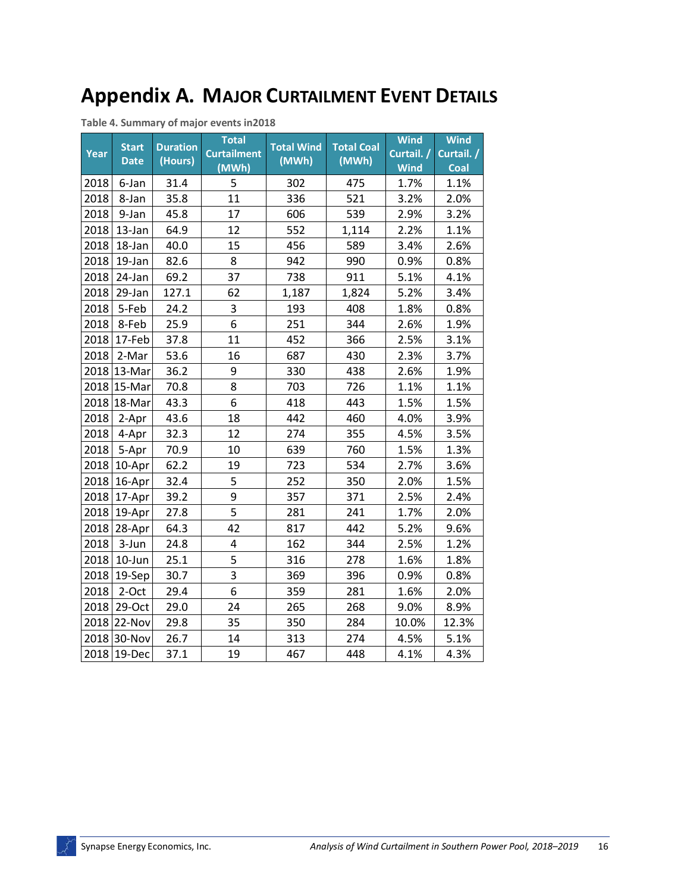## **Appendix A. MAJOR CURTAILMENT EVENT DETAILS**

**Table 4. Summary of major events in2018**

| Year | <b>Start</b><br><b>Date</b> | <b>Duration</b><br>(Hours) | <b>Total</b><br><b>Curtailment</b><br>(MWh) | <b>Total Wind</b><br>(MWh) | <b>Total Coal</b><br>(MWh) | <b>Wind</b><br>Curtail. /<br><b>Wind</b> | <b>Wind</b><br>Curtail. /<br>Coal |
|------|-----------------------------|----------------------------|---------------------------------------------|----------------------------|----------------------------|------------------------------------------|-----------------------------------|
| 2018 | 6-Jan                       | 31.4                       | 5                                           | 302                        | 475                        | 1.7%                                     | 1.1%                              |
| 2018 | 8-Jan                       | 35.8                       | 11                                          | 336                        | 521                        | 3.2%                                     | 2.0%                              |
| 2018 | 9-Jan                       | 45.8                       | 17                                          | 606                        | 539                        | 2.9%                                     | 3.2%                              |
| 2018 | 13-Jan                      | 64.9                       | 12                                          | 552                        | 1,114                      | 2.2%                                     | 1.1%                              |
| 2018 | 18-Jan                      | 40.0                       | 15                                          | 456                        | 589                        | 3.4%                                     | 2.6%                              |
| 2018 | 19-Jan                      | 82.6                       | 8                                           | 942                        | 990                        | 0.9%                                     | 0.8%                              |
| 2018 | 24-Jan                      | 69.2                       | 37                                          | 738                        | 911                        | 5.1%                                     | 4.1%                              |
| 2018 | 29-Jan                      | 127.1                      | 62                                          | 1,187                      | 1,824                      | 5.2%                                     | 3.4%                              |
| 2018 | 5-Feb                       | 24.2                       | 3                                           | 193                        | 408                        | 1.8%                                     | 0.8%                              |
| 2018 | 8-Feb                       | 25.9                       | 6                                           | 251                        | 344                        | 2.6%                                     | 1.9%                              |
| 2018 | 17-Feb                      | 37.8                       | 11                                          | 452                        | 366                        | 2.5%                                     | 3.1%                              |
| 2018 | 2-Mar                       | 53.6                       | 16                                          | 687                        | 430                        | 2.3%                                     | 3.7%                              |
|      | 2018 13-Mar                 | 36.2                       | 9                                           | 330                        | 438                        | 2.6%                                     | 1.9%                              |
|      | 2018 15-Mar                 | 70.8                       | 8                                           | 703                        | 726                        | 1.1%                                     | 1.1%                              |
|      | 2018 18-Mar                 | 43.3                       | 6                                           | 418                        | 443                        | 1.5%                                     | 1.5%                              |
| 2018 | 2-Apr                       | 43.6                       | 18                                          | 442                        | 460                        | 4.0%                                     | 3.9%                              |
| 2018 | 4-Apr                       | 32.3                       | 12                                          | 274                        | 355                        | 4.5%                                     | 3.5%                              |
| 2018 | 5-Apr                       | 70.9                       | 10                                          | 639                        | 760                        | 1.5%                                     | 1.3%                              |
| 2018 | 10-Apr                      | 62.2                       | 19                                          | 723                        | 534                        | 2.7%                                     | 3.6%                              |
| 2018 | 16-Apr                      | 32.4                       | 5                                           | 252                        | 350                        | 2.0%                                     | 1.5%                              |
|      | 2018 17-Apr                 | 39.2                       | 9                                           | 357                        | 371                        | 2.5%                                     | 2.4%                              |
| 2018 | 19-Apr                      | 27.8                       | 5                                           | 281                        | 241                        | 1.7%                                     | 2.0%                              |
| 2018 | 28-Apr                      | 64.3                       | 42                                          | 817                        | 442                        | 5.2%                                     | 9.6%                              |
| 2018 | 3-Jun                       | 24.8                       | 4                                           | 162                        | 344                        | 2.5%                                     | 1.2%                              |
| 2018 | 10-Jun                      | 25.1                       | 5                                           | 316                        | 278                        | 1.6%                                     | 1.8%                              |
| 2018 | 19-Sep                      | 30.7                       | $\overline{3}$                              | 369                        | 396                        | 0.9%                                     | 0.8%                              |
| 2018 | 2-Oct                       | 29.4                       | 6                                           | 359                        | 281                        | 1.6%                                     | 2.0%                              |
| 2018 | 29-Oct                      | 29.0                       | 24                                          | 265                        | 268                        | 9.0%                                     | 8.9%                              |
|      | 2018 22-Nov                 | 29.8                       | 35                                          | 350                        | 284                        | 10.0%                                    | 12.3%                             |
|      | 2018 30-Nov                 | 26.7                       | 14                                          | 313                        | 274                        | 4.5%                                     | 5.1%                              |
|      | 2018 19-Dec                 | 37.1                       | 19                                          | 467                        | 448                        | 4.1%                                     | 4.3%                              |